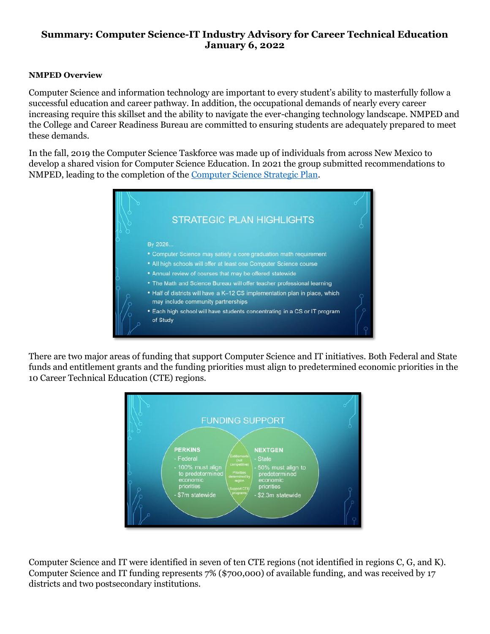## **Summary: Computer Science-IT Industry Advisory for Career Technical Education January 6, 2022**

## **NMPED Overview**

Computer Science and information technology are important to every student's ability to masterfully follow a successful education and career pathway. In addition, the occupational demands of nearly every career increasing require this skillset and the ability to navigate the ever-changing technology landscape. NMPED and the College and Career Readiness Bureau are committed to ensuring students are adequately prepared to meet these demands.

In the fall, 2019 the Computer Science Taskforce was made up of individuals from across New Mexico to develop a shared vision for Computer Science Education. In 2021 the group submitted recommendations to NMPED, leading to the completion of the [Computer Science Strategic Plan.](https://webnew.ped.state.nm.us/wp-content/uploads/2021/06/PED-Computer-Science-Strategic-Plan-FINAL.pdf)



There are two major areas of funding that support Computer Science and IT initiatives. Both Federal and State funds and entitlement grants and the funding priorities must align to predetermined economic priorities in the 10 Career Technical Education (CTE) regions.



Computer Science and IT were identified in seven of ten CTE regions (not identified in regions C, G, and K). Computer Science and IT funding represents 7% (\$700,000) of available funding, and was received by 17 districts and two postsecondary institutions.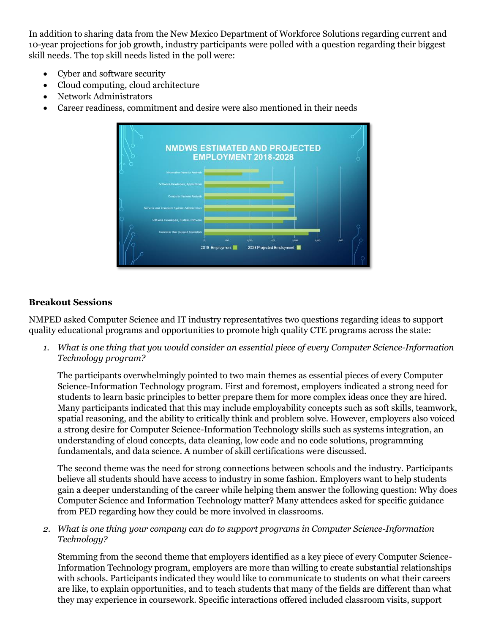In addition to sharing data from the New Mexico Department of Workforce Solutions regarding current and 10-year projections for job growth, industry participants were polled with a question regarding their biggest skill needs. The top skill needs listed in the poll were:

- Cyber and software security
- Cloud computing, cloud architecture
- Network Administrators
- Career readiness, commitment and desire were also mentioned in their needs



## **Breakout Sessions**

NMPED asked Computer Science and IT industry representatives two questions regarding ideas to support quality educational programs and opportunities to promote high quality CTE programs across the state:

*1. What is one thing that you would consider an essential piece of every Computer Science-Information Technology program?*

The participants overwhelmingly pointed to two main themes as essential pieces of every Computer Science-Information Technology program. First and foremost, employers indicated a strong need for students to learn basic principles to better prepare them for more complex ideas once they are hired. Many participants indicated that this may include employability concepts such as soft skills, teamwork, spatial reasoning, and the ability to critically think and problem solve. However, employers also voiced a strong desire for Computer Science-Information Technology skills such as systems integration, an understanding of cloud concepts, data cleaning, low code and no code solutions, programming fundamentals, and data science. A number of skill certifications were discussed.

The second theme was the need for strong connections between schools and the industry. Participants believe all students should have access to industry in some fashion. Employers want to help students gain a deeper understanding of the career while helping them answer the following question: Why does Computer Science and Information Technology matter? Many attendees asked for specific guidance from PED regarding how they could be more involved in classrooms.

*2. What is one thing your company can do to support programs in Computer Science-Information Technology?*

Stemming from the second theme that employers identified as a key piece of every Computer Science-Information Technology program, employers are more than willing to create substantial relationships with schools. Participants indicated they would like to communicate to students on what their careers are like, to explain opportunities, and to teach students that many of the fields are different than what they may experience in coursework. Specific interactions offered included classroom visits, support